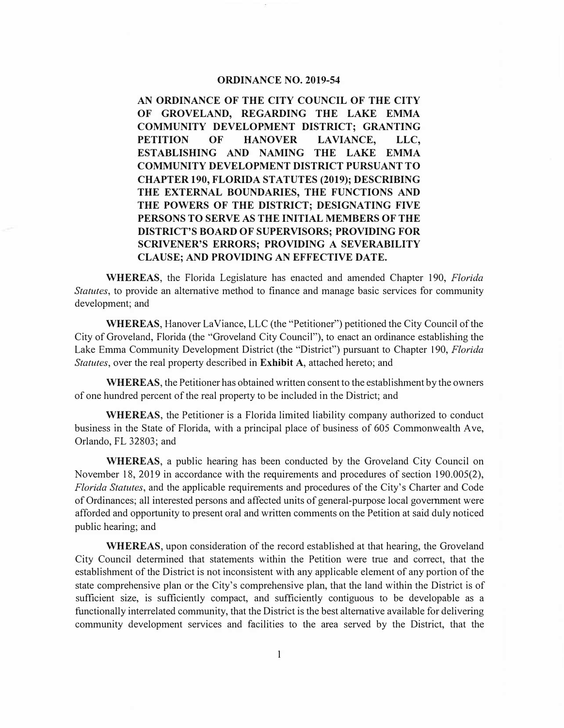# **ORDINANCE NO. 2019-54**

**AN ORDINANCE OF THE CITY COUNCIL OF THE CITY OF GROVELAND, REGARDING THE LAKE EMMA COMMUNITY DEVELOPMENT DISTRICT; GRANTING PETITION OF HANOVER LAVIANCE, LLC, ESTABLISHING AND NAMING THE LAKE EMMA COMMUNITY DEVELOPMENT DISTRICT PURSUANT TO CHAPTER 190, FLORIDA STATUTES (2019); DESCRIBING THE EXTERNAL BOUNDARIES, THE FUNCTIONS AND THE POWERS OF THE DISTRICT; DESIGNATING FIVE PERSONS TO SERVE AS THE INITIAL MEMBERS OF THE DISTRICT'S BOARD OF SUPERVISORS; PROVIDING FOR SCRIVENER'S ERRORS; PROVIDING A SEVERABILITY CLAUSE; AND PROVIDING AN EFFECTIVE DATE.** 

**WHEREAS,** the Florida Legislature has enacted and amended Chapter 190, *Florida Statutes,* to provide an alternative method to finance and manage basic services for community development; and

**WHEREAS,** Hanover LaViance, LLC (the "Petitioner") petitioned the City Council of the City of Groveland, Florida (the "Groveland City Council"), to enact an ordinance establishing the Lake Emma Community Development District (the "District") pursuant to Chapter 190, *Florida Statutes,* over the real property described in **Exhibit A,** attached hereto; and

**WHEREAS,** the Petitioner has obtained written consent to the establishment by the owners of one hundred percent of the real property to be included in the District; and

**WHEREAS,** the Petitioner is a Florida limited liability company authorized to conduct business in the State of Florida, with a principal place of business of 605 Commonwealth Ave, Orlando, FL 32803; and

**WHEREAS,** a public hearing has been conducted by the Groveland City Council on November 18, 2019 in accordance with the requirements and procedures of section 190.005(2), *Florida Statutes,* and the applicable requirements and procedures of the City's Charter and Code of Ordinances; all interested persons and affected units of general-purpose local government were afforded and opportunity to present oral and written comments on the Petition at said duly noticed public hearing; and

**WHEREAS,** upon consideration of the record established at that hearing, the Groveland City Council determined that statements within the Petition were true and correct, that the establishment of the District is not inconsistent with any applicable element of any portion of the state comprehensive plan or the City's comprehensive plan, that the land within the District is of sufficient size, is sufficiently compact, and sufficiently contiguous to be developable as a functionally interrelated community, that the District is the best alternative available for delivering community development services and facilities to the area served by the District, that the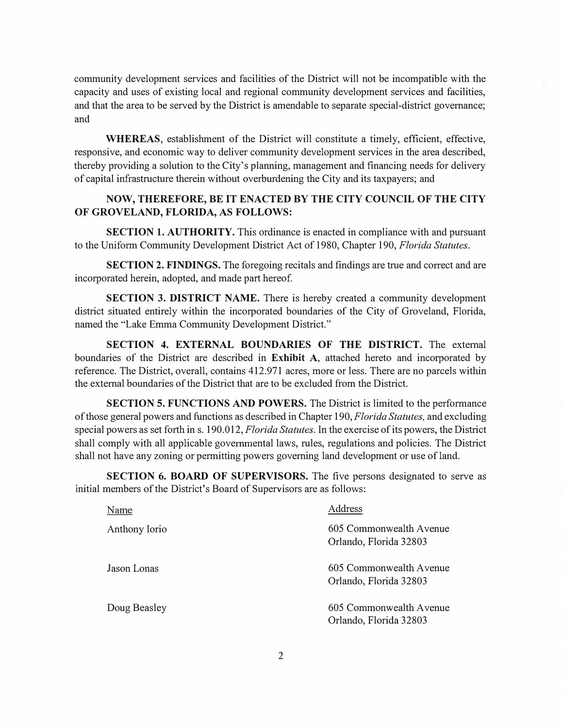**community development services and facilities of the District will not be incompatible with the capacity and uses of existing local and regional community development services and facilities, and that the area to be served by the District is amendable to separate special-district governance; and** 

**WHEREAS, establishment of the District will constitute a timely, efficient, effective, responsive, and economic way to deliver community development services in the area described, thereby providing a solution to the City's planning, management and financing needs for delivery of capital infrastructure therein without overburdening the City and its taxpayers; and** 

# **NOW, THEREFORE, BE IT ENACTED BY THE CITY COUNCIL OF THE CITY OF GROVELAND, FLORIDA, AS FOLLOWS:**

**SECTION 1. AUTHORITY. This ordinance is enacted in compliance with and pursuant**  to the Uniform Community Development District Act of 1980, Chapter 190, *Florida Statutes.* 

**SECTION 2. FINDINGS. The foregoing recitals and findings are true and correct and are**  incorporated herein, adopted, and made part hereof.

**SECTION 3. DISTRICT NAME. There is hereby created a community development district situated entirely within the incorporated boundaries of the City of Groveland, Florida, named the "Lake Emma Community Development District."** 

**SECTION 4. EXTERNAL BOUNDARIES OF THE DISTRICT. The external boundaries of the District are described in Exhibit A, attached hereto and incorporated by reference. The District, overall, contains 412.971 acres, more or less. There are no parcels within the external boundaries of the District that are to be excluded from the District.** 

**SECTION 5. FUNCTIONS AND POWERS. The District is limited to the performance of those general powers and functions as described in Chapter 190,** *Florida Statutes,* **and excluding special powers as set forth in s. 190.012,** *Florida Statutes.* **In the exercise of its powers, the District shall comply with all applicable governmental laws, rules, regulations and policies. The District shall not have any zoning or permitting powers governing land development or use of land.** 

**SECTION 6. BOARD OF SUPERVISORS. The five persons designated to serve as initial members of the District's Board of Supervisors are as follows:** 

| Name          | Address                                           |
|---------------|---------------------------------------------------|
| Anthony Iorio | 605 Commonwealth Avenue<br>Orlando, Florida 32803 |
| Jason Lonas   | 605 Commonwealth Avenue<br>Orlando, Florida 32803 |
| Doug Beasley  | 605 Commonwealth Avenue<br>Orlando, Florida 32803 |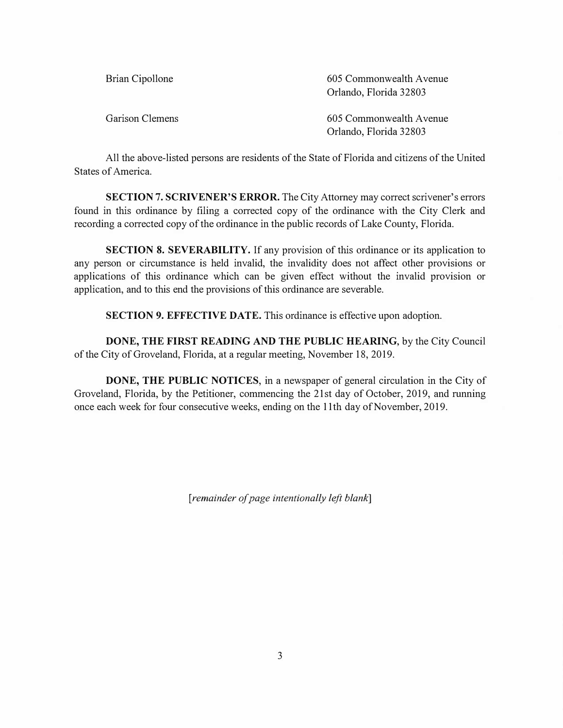| Brian Cipollone | 605 Commonwealth Avenue<br>Orlando, Florida 32803 |
|-----------------|---------------------------------------------------|
| Garison Clemens | 605 Commonwealth Avenue<br>Orlando, Florida 32803 |

**All the above-listed persons are residents of the State of Florida and citizens of the United States of America.** 

**SECTION 7. SCRIVENER'S ERROR. The City Attorney may correct scrivener's errors found in this ordinance by filing a corrected copy of the ordinance with the City Clerk and recording a corrected copy of the ordinance in the public records of Lake County, Florida.** 

**SECTION 8. SEVERABILITY. If any provision of this ordinance or its application to any person or circumstance is held invalid, the invalidity does not affect other provisions or applications of this ordinance which can be given effect without the invalid provision or application, and to this end the provisions of this ordinance are severable.** 

**SECTION 9. EFFECTIVE DATE. This ordinance is effective upon adoption.** 

**DONE, THE FIRST READING AND THE PUBLIC HEARING, by the City Council of the City of Groveland, Florida, at a regular meeting, November 18, 2019.** 

**DONE, THE PUBLIC NOTICES, in a newspaper of general circulation in the City of Groveland, Florida, by the Petitioner, commencing the 21st day of October, 2019, and running once each week for four consecutive weeks, ending on the 11th day of November, 2019.** 

*[remainder of page intentionally left blank]*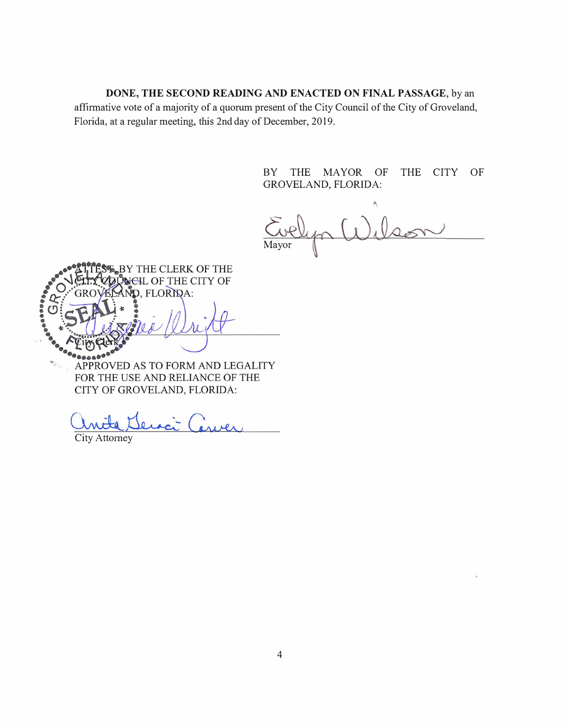**DONE, THE SECOND READING AND ENACTED ON FINAL PASSAGE, by an affirmative vote of a majority of a quorum present of the City Council of the City of Groveland, Florida, at a regular meeting, this 2nd day of December, 2019.** 

> **BY THE MAYOR OF THE CITY OF GROVELAND, FLORIDA:**

**Mayor** 

BY THE CLERK OF THE **NEIL OF THE CITY OF** D. FLORIDA: APPROVED AS TO FORM AND LEGALITY FOR THE USE AND RELIANCE OF THE

CITY OF GROVELAND, FLORIDA:

**City Attorney**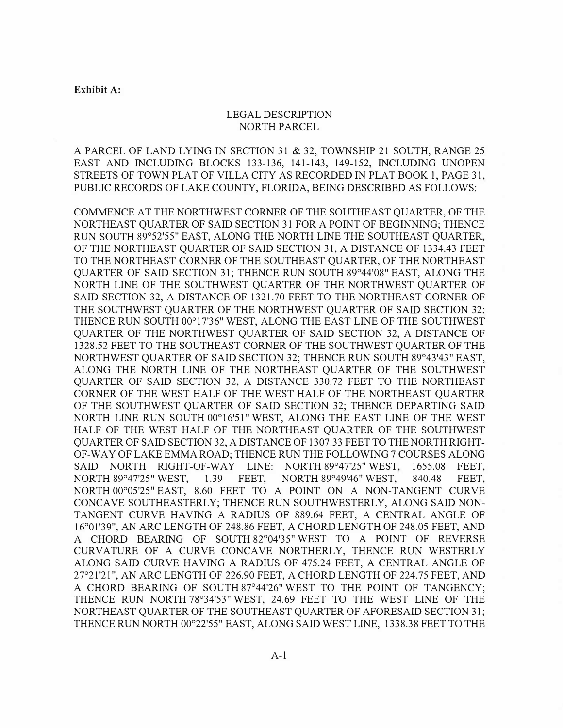#### **Exhibit A:**

# **LEGAL DESCRIPTION NORTH PARCEL**

**A PARCEL OF LAND LYING IN SECTION 31 & 32, TOWNSHIP 21 SOUTH, RANGE 25 EAST AND INCLUDING BLOCKS 133-136, 141-143, 149-152, INCLUDING UNOPEN STREETS OF TOWN PLAT OF VILLA CITY AS RECORDED IN PLAT BOOK 1, PAGE 31, PUBLIC RECORDS OF LAKE COUNTY, FLORIDA, BEING DESCRIBED AS FOLLOWS:** 

**COMMENCE AT THE NORTHWEST CORNER OF THE SOUTHEAST QUARTER, OF THE NORTHEAST QUARTER OF SAID SECTION 31 FOR A POINT OF BEGINNING; THENCE RUN SOUTH 89**° **52'55" EAST, ALONG THE NORTH LINE THE SOUTHEAST QUARTER, OF THE NORTHEAST QUARTER OF SAID SECTION 31, A DISTANCE OF 1334.43 FEET TO THE NORTHEAST CORNER OF THE SOUTHEAST QUARTER, OF THE NORTHEAST QUARTER OF SAID SECTION 31; THENCE RUN SOUTH 89**° **44'08" EAST, ALONG THE NORTH LINE OF THE SOUTHWEST QUARTER OF THE NORTHWEST QUARTER OF SAID SECTION 32, A DISTANCE OF 1321.70 FEET TO THE NORTHEAST CORNER OF THE SOUTHWEST QUARTER OF THE NORTHWEST QUARTER OF SAID SECTION 32; THENCE RUN SOUTH 00**° **17'36" WEST, ALONG THE EAST LINE OF THE SOUTHWEST QUARTER OF THE NORTHWEST QUARTER OF SAID SECTION 32, A DISTANCE OF 1328.52 FEET TO THE SOUTHEAST CORNER OF THE SOUTHWEST QUARTER OF THE NORTHWEST QUARTER OF SAID SECTION 32; THENCE RUN SOUTH 89**° **43'43" EAST, ALONG THE NORTH LINE OF THE NORTHEAST QUARTER OF THE SOUTHWEST QUARTER OF SAID SECTION 32, A DISTANCE 330.72 FEET TO THE NORTHEAST CORNER OF THE WEST HALF OF THE WEST HALF OF THE NORTHEAST QUARTER OF THE SOUTHWEST QUARTER OF SAID SECTION 32; THENCE DEPARTING SAID NORTH LINE RUN SOUTH 00**°**16'51" WEST, ALONG THE EAST LINE OF THE WEST HALF OF THE WEST HALF OF THE NORTHEAST QUARTER OF THE SOUTHWEST QUARTER OF SAID SECTION 32, A DISTANCE OF 1307 .33 FEET TO THE NORTH RIGHT-OF-W A Y OF LAKE EMMA ROAD; THENCE RUN THE FOLLOWING 7 COURSES ALONG**  SAID NORTH RIGHT-OF-WAY LINE: NORTH 89°47'25" WEST, 1655.08 FEET, **NORTH 89**° **47'25**<sup>1</sup> 1.39 FEET. **49'46**<sup>11</sup>**WEST, 840.48 FEET, NORTH 00**° **05'25**<sup>11</sup>**EAST, 8.60 FEET TO A POINT ON A NON-TANGENT CURVE CONCAVE SOUTHEASTERLY; THENCE RUN SOUTHWESTERLY, ALONG SAID NON-**TANGENT CURVE HAVING A RADIUS OF 889.64 FEET, A CENTRAL ANGLE OF 16°01'39", AN ARC LENGTH OF 248.86 FEET, A CHORD LENGTH OF 248.05 FEET, AND **A CHORD BEARING OF SOUTH 82**°**04'35**<sup>11</sup>**WEST TO A POINT OF REVERSE CURVATURE OF A CURVE CONCAVE NORTHERLY, THENCE RUN WESTERLY ALONG SAID CURVE HAVING A RADIUS OF 475.24 FEET, A CENTRAL ANGLE OF 27**° **21'21**<sup>11</sup> , **AN ARC LENGTH OF 226.90 FEET, A CHORD LENGTH OF 224.75 FEET, AND A CHORD BEARING OF SOUTH 87**° **44'26" WEST TO THE POINT OF TANGENCY; THENCE RUN NORTH 78**°**34'53" WEST, 24.69 FEET TO THE WEST LINE OF THE NORTHEAST QUARTER OF THE SOUTHEAST QUARTER OF AFORESAID SECTION 31; THENCE RUN NORTH 00**° **22'55" EAST, ALONG SAID WEST LINE, 1338.38 FEET TO THE**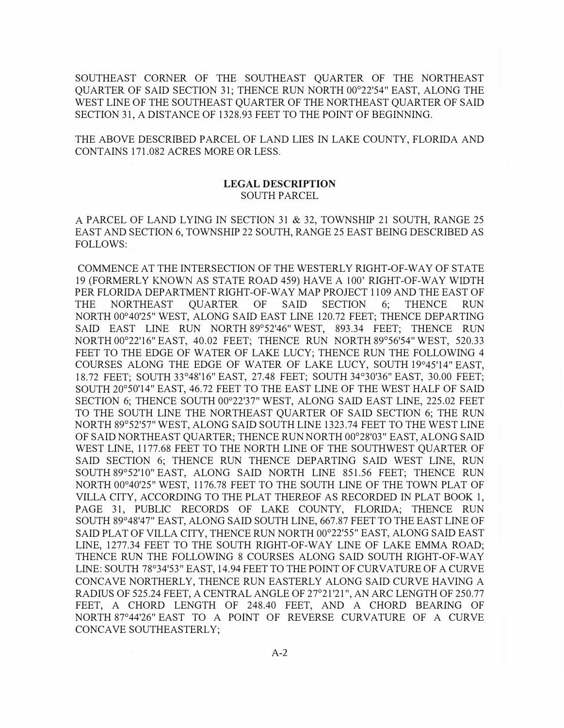**SOUTHEAST CORNER OF THE SOUTHEAST QUARTER OF THE NORTHEAST QUARTER OF SAID SECTION 31; THENCE RUN NORTH 00**° **22'54" EAST, ALONG THE WEST LINE OF THE SOUTHEAST QUARTER OF THE NORTHEAST QUARTER OF SAID SECTION 31, A DISTANCE OF 1328.93 FEET TO THE POINT OF BEGINNING.** 

**THE ABOVE DESCRIBED PARCEL OF LAND LIES IN LAKE COUNTY, FLORIDA AND CONTAINS 171.082 ACRES MORE OR LESS.** 

# **LEGAL DESCRIPTION SOUTH PARCEL**

**A PARCEL OF LAND LYING IN SECTION 31 & 32, TOWNSHIP 21 SOUTH, RANGE 25 EAST AND SECTION 6, TOWNSHIP 22 SOUTH, RANGE 25 EAST BEING DESCRIBED AS FOLLOWS:** 

**COMMENCE AT THE INTERSECTION OF THE WESTERLY RIGHT-OF-WAY OF STATE 19 (FORMERLY KNOWN AS STATE ROAD 459) HAVE A 100' RIGHT-OF-WAY WIDTH PER FLORIDA DEPARTMENT RIGHT-OF-WAY MAP PROJECT 1109 AND THE EAST OF THE NORTHEAST QUARTER OF SAID SECTION 6; THENCE RUN NORTH 00**° **40'25" WEST, ALONG SAID EAST LINE 120.72 FEET; THENCE DEPARTING SAID EAST LINE RUN NORTH 89**° **52'46" WEST, 893.34 FEET; THENCE RUN NORTH 00**° **22'16" EAST, 40.02 FEET; THENCE RUN NORTH 89**° **56'54" WEST, 520.33 FEET TO THE EDGE OF WATER OF LAKE LUCY; THENCE RUN THE FOLLOWING 4 COURSES ALONG THE EDGE OF WATER OF LAKE LUCY, SOUTH 19**° **45'14" EAST, 18.72 FEET; SOUTH 33**°**48'16" EAST, 27.48 FEET; SOUTH 34**° **30'36" EAST, 30.00 FEET; SOUTH 20**°**50'14" EAST, 46.72 FEET TO THE EAST LINE OF THE WEST HALF OF SAID SECTION 6; THENCE SOUTH 00**° **22'37" WEST, ALONG SAID EAST LINE, 225.02 FEET TO THE SOUTH LINE THE NORTHEAST QUARTER OF SAID SECTION 6; THE RUN NORTH 89**° **52'57" WEST, ALONG SAID SOUTH LINE 1323.74 FEET TO THE WEST LINE OF SAID NORTHEAST QUARTER; THENCE RUN NORTH 00**° **28'03" EAST, ALONG SAID WEST LINE, 1177.68 FEET TO THE NORTH LINE OF THE SOUTHWEST QUARTER OF**  SAID SECTION 6; THENCE RUN THENCE DEPARTING SAID WEST LINE, RUN **SOUTH 89**° **52'10" EAST, ALONG SAID NORTH LINE 851.56 FEET; THENCE RUN NORTH 00**° **40'25" WEST, 1176.78 FEET TO THE SOUTH LINE OF THE TOWN PLAT OF VILLA CITY, ACCORDING TO THE PLAT THEREOF AS RECORDED IN PLAT BOOK 1, PAGE 31, PUBLIC RECORDS OF LAKE COUNTY, FLORIDA; THENCE RUN SOUTH 89**°**48'47" EAST, ALONG SAID SOUTH LINE, 667.87 FEET TO THE EAST LINE OF SAID PLAT OF VILLA CITY, THENCE RUN NORTH 00**° **22'55" EAST, ALONG SAID EAST LINE, 1277.34 FEET TO THE SOUTH RIGHT-OF-WAY LINE OF LAKE EMMA ROAD; THENCE RUN THE FOLLOWING 8 COURSES ALONG SAID SOUTH RIGHT-OF-WAY LINE: SOUTH 78**° **34'53" EAST, 14.94 FEET TO THE POINT OF CURVATURE OF A CURVE CONCAVE NORTHERLY, THENCE RUN EASTERLY ALONG SAID CURVE HAVING A RADIUS OF 525.24 FEET, A CENTRAL ANGLE OF 27**° **21 '21 ", AN ARC LENGTH OF 250.77 FEET, A CHORD LENGTH OF 248.40 FEET, AND A CHORD BEARING OF NORTH 87**° **44'26" EAST TO A POINT OF REVERSE CURVATURE OF A CURVE CONCA VE SOUTHEASTERLY;**